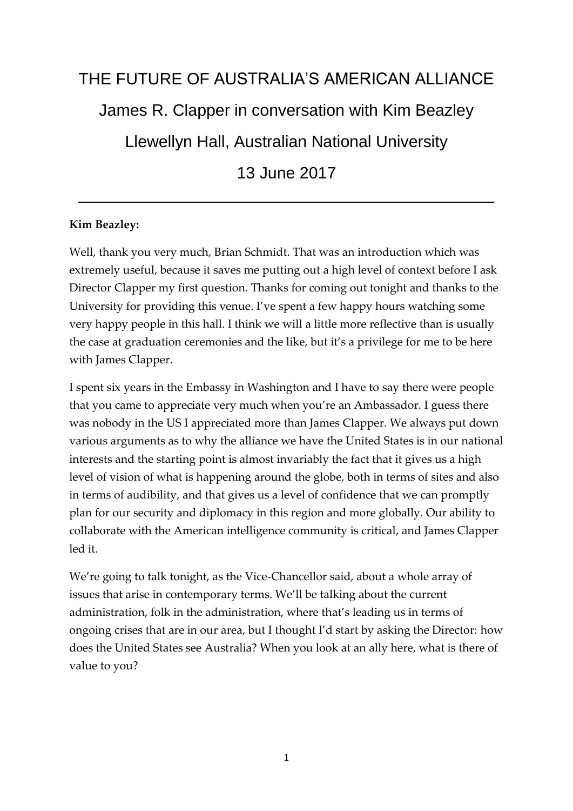# THE FUTURE OF AUSTRALIA'S AMERICAN ALLIANCE James R. Clapper in conversation with Kim Beazley Llewellyn Hall, Australian National University 13 June 2017

## **Kim Beazley:**

Well, thank you very much, Brian Schmidt. That was an introduction which was extremely useful, because it saves me putting out a high level of context before I ask Director Clapper my first question. Thanks for coming out tonight and thanks to the University for providing this venue. I've spent a few happy hours watching some very happy people in this hall. I think we will a little more reflective than is usually the case at graduation ceremonies and the like, but it's a privilege for me to be here with James Clapper.

I spent six years in the Embassy in Washington and I have to say there were people that you came to appreciate very much when you're an Ambassador. I guess there was nobody in the US I appreciated more than James Clapper. We always put down various arguments as to why the alliance we have the United States is in our national interests and the starting point is almost invariably the fact that it gives us a high level of vision of what is happening around the globe, both in terms of sites and also in terms of audibility, and that gives us a level of confidence that we can promptly plan for our security and diplomacy in this region and more globally. Our ability to collaborate with the American intelligence community is critical, and James Clapper led it.

We're going to talk tonight, as the Vice-Chancellor said, about a whole array of issues that arise in contemporary terms. We'll be talking about the current administration, folk in the administration, where that's leading us in terms of ongoing crises that are in our area, but I thought I'd start by asking the Director: how does the United States see Australia? When you look at an ally here, what is there of value to you?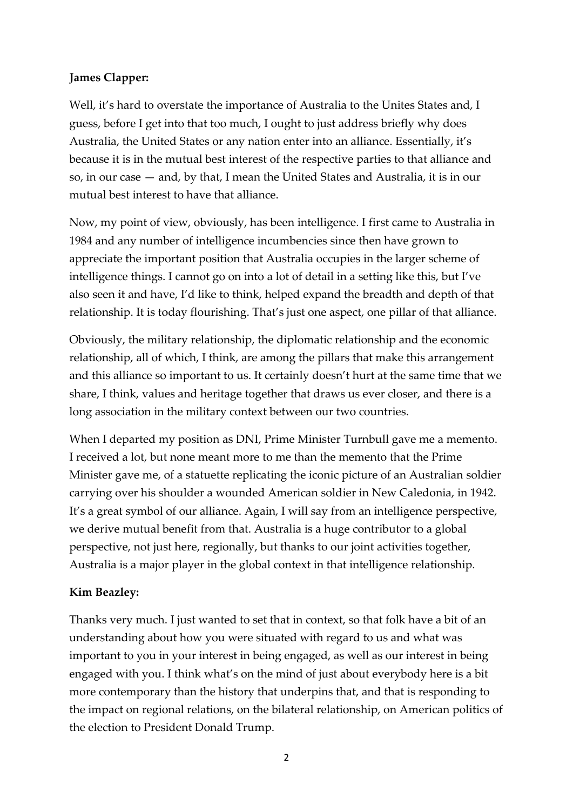## **James Clapper:**

Well, it's hard to overstate the importance of Australia to the Unites States and, I guess, before I get into that too much, I ought to just address briefly why does Australia, the United States or any nation enter into an alliance. Essentially, it's because it is in the mutual best interest of the respective parties to that alliance and so, in our case — and, by that, I mean the United States and Australia, it is in our mutual best interest to have that alliance.

Now, my point of view, obviously, has been intelligence. I first came to Australia in 1984 and any number of intelligence incumbencies since then have grown to appreciate the important position that Australia occupies in the larger scheme of intelligence things. I cannot go on into a lot of detail in a setting like this, but I've also seen it and have, I'd like to think, helped expand the breadth and depth of that relationship. It is today flourishing. That's just one aspect, one pillar of that alliance.

Obviously, the military relationship, the diplomatic relationship and the economic relationship, all of which, I think, are among the pillars that make this arrangement and this alliance so important to us. It certainly doesn't hurt at the same time that we share, I think, values and heritage together that draws us ever closer, and there is a long association in the military context between our two countries.

When I departed my position as DNI, Prime Minister Turnbull gave me a memento. I received a lot, but none meant more to me than the memento that the Prime Minister gave me, of a statuette replicating the iconic picture of an Australian soldier carrying over his shoulder a wounded American soldier in New Caledonia, in 1942. It's a great symbol of our alliance. Again, I will say from an intelligence perspective, we derive mutual benefit from that. Australia is a huge contributor to a global perspective, not just here, regionally, but thanks to our joint activities together, Australia is a major player in the global context in that intelligence relationship.

## **Kim Beazley:**

Thanks very much. I just wanted to set that in context, so that folk have a bit of an understanding about how you were situated with regard to us and what was important to you in your interest in being engaged, as well as our interest in being engaged with you. I think what's on the mind of just about everybody here is a bit more contemporary than the history that underpins that, and that is responding to the impact on regional relations, on the bilateral relationship, on American politics of the election to President Donald Trump.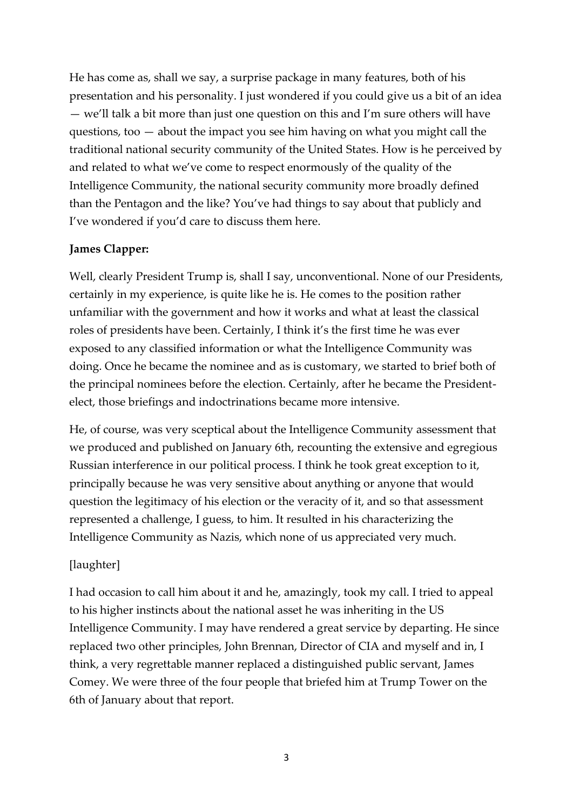He has come as, shall we say, a surprise package in many features, both of his presentation and his personality. I just wondered if you could give us a bit of an idea — we'll talk a bit more than just one question on this and I'm sure others will have questions, too — about the impact you see him having on what you might call the traditional national security community of the United States. How is he perceived by and related to what we've come to respect enormously of the quality of the Intelligence Community, the national security community more broadly defined than the Pentagon and the like? You've had things to say about that publicly and I've wondered if you'd care to discuss them here.

## **James Clapper:**

Well, clearly President Trump is, shall I say, unconventional. None of our Presidents, certainly in my experience, is quite like he is. He comes to the position rather unfamiliar with the government and how it works and what at least the classical roles of presidents have been. Certainly, I think it's the first time he was ever exposed to any classified information or what the Intelligence Community was doing. Once he became the nominee and as is customary, we started to brief both of the principal nominees before the election. Certainly, after he became the Presidentelect, those briefings and indoctrinations became more intensive.

He, of course, was very sceptical about the Intelligence Community assessment that we produced and published on January 6th, recounting the extensive and egregious Russian interference in our political process. I think he took great exception to it, principally because he was very sensitive about anything or anyone that would question the legitimacy of his election or the veracity of it, and so that assessment represented a challenge, I guess, to him. It resulted in his characterizing the Intelligence Community as Nazis, which none of us appreciated very much.

## [laughter]

I had occasion to call him about it and he, amazingly, took my call. I tried to appeal to his higher instincts about the national asset he was inheriting in the US Intelligence Community. I may have rendered a great service by departing. He since replaced two other principles, John Brennan, Director of CIA and myself and in, I think, a very regrettable manner replaced a distinguished public servant, James Comey. We were three of the four people that briefed him at Trump Tower on the 6th of January about that report.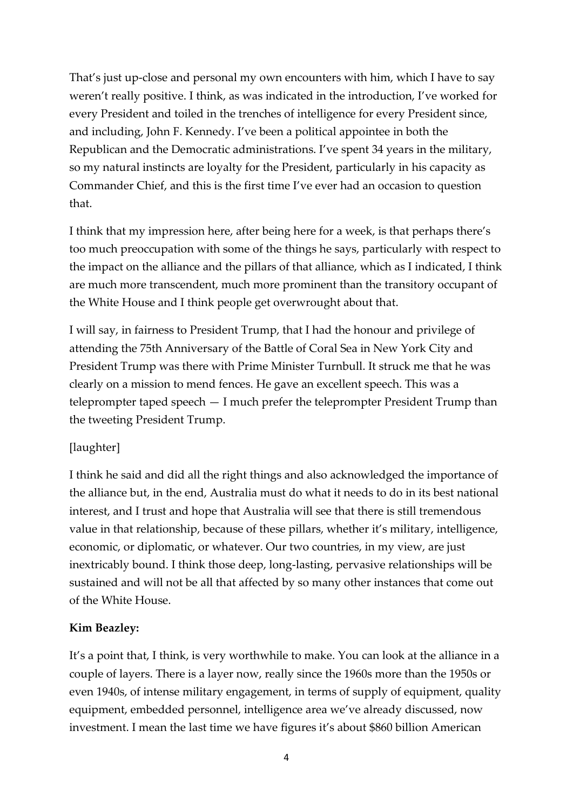That's just up-close and personal my own encounters with him, which I have to say weren't really positive. I think, as was indicated in the introduction, I've worked for every President and toiled in the trenches of intelligence for every President since, and including, John F. Kennedy. I've been a political appointee in both the Republican and the Democratic administrations. I've spent 34 years in the military, so my natural instincts are loyalty for the President, particularly in his capacity as Commander Chief, and this is the first time I've ever had an occasion to question that.

I think that my impression here, after being here for a week, is that perhaps there's too much preoccupation with some of the things he says, particularly with respect to the impact on the alliance and the pillars of that alliance, which as I indicated, I think are much more transcendent, much more prominent than the transitory occupant of the White House and I think people get overwrought about that.

I will say, in fairness to President Trump, that I had the honour and privilege of attending the 75th Anniversary of the Battle of Coral Sea in New York City and President Trump was there with Prime Minister Turnbull. It struck me that he was clearly on a mission to mend fences. He gave an excellent speech. This was a teleprompter taped speech — I much prefer the teleprompter President Trump than the tweeting President Trump.

## [laughter]

I think he said and did all the right things and also acknowledged the importance of the alliance but, in the end, Australia must do what it needs to do in its best national interest, and I trust and hope that Australia will see that there is still tremendous value in that relationship, because of these pillars, whether it's military, intelligence, economic, or diplomatic, or whatever. Our two countries, in my view, are just inextricably bound. I think those deep, long-lasting, pervasive relationships will be sustained and will not be all that affected by so many other instances that come out of the White House.

#### **Kim Beazley:**

It's a point that, I think, is very worthwhile to make. You can look at the alliance in a couple of layers. There is a layer now, really since the 1960s more than the 1950s or even 1940s, of intense military engagement, in terms of supply of equipment, quality equipment, embedded personnel, intelligence area we've already discussed, now investment. I mean the last time we have figures it's about \$860 billion American

4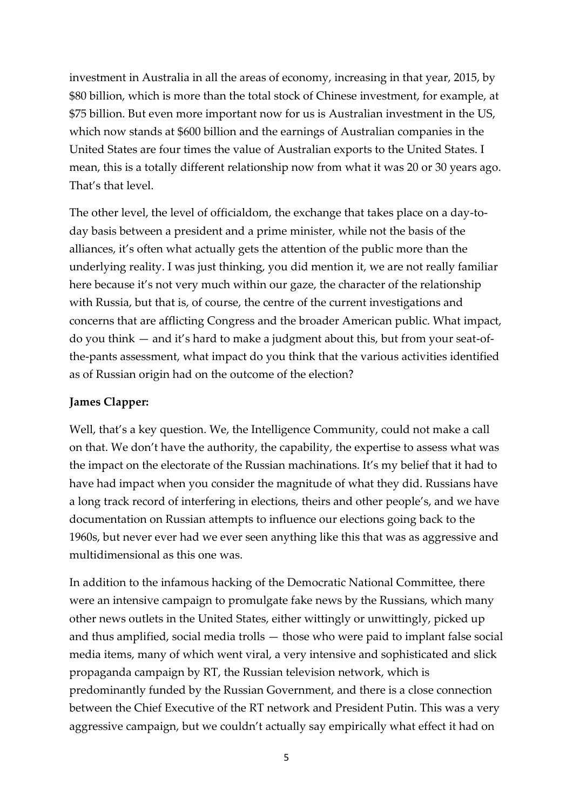investment in Australia in all the areas of economy, increasing in that year, 2015, by \$80 billion, which is more than the total stock of Chinese investment, for example, at \$75 billion. But even more important now for us is Australian investment in the US, which now stands at \$600 billion and the earnings of Australian companies in the United States are four times the value of Australian exports to the United States. I mean, this is a totally different relationship now from what it was 20 or 30 years ago. That's that level.

The other level, the level of officialdom, the exchange that takes place on a day-today basis between a president and a prime minister, while not the basis of the alliances, it's often what actually gets the attention of the public more than the underlying reality. I was just thinking, you did mention it, we are not really familiar here because it's not very much within our gaze, the character of the relationship with Russia, but that is, of course, the centre of the current investigations and concerns that are afflicting Congress and the broader American public. What impact, do you think — and it's hard to make a judgment about this, but from your seat-ofthe-pants assessment, what impact do you think that the various activities identified as of Russian origin had on the outcome of the election?

## **James Clapper:**

Well, that's a key question. We, the Intelligence Community, could not make a call on that. We don't have the authority, the capability, the expertise to assess what was the impact on the electorate of the Russian machinations. It's my belief that it had to have had impact when you consider the magnitude of what they did. Russians have a long track record of interfering in elections, theirs and other people's, and we have documentation on Russian attempts to influence our elections going back to the 1960s, but never ever had we ever seen anything like this that was as aggressive and multidimensional as this one was.

In addition to the infamous hacking of the Democratic National Committee, there were an intensive campaign to promulgate fake news by the Russians, which many other news outlets in the United States, either wittingly or unwittingly, picked up and thus amplified, social media trolls — those who were paid to implant false social media items, many of which went viral, a very intensive and sophisticated and slick propaganda campaign by RT, the Russian television network, which is predominantly funded by the Russian Government, and there is a close connection between the Chief Executive of the RT network and President Putin. This was a very aggressive campaign, but we couldn't actually say empirically what effect it had on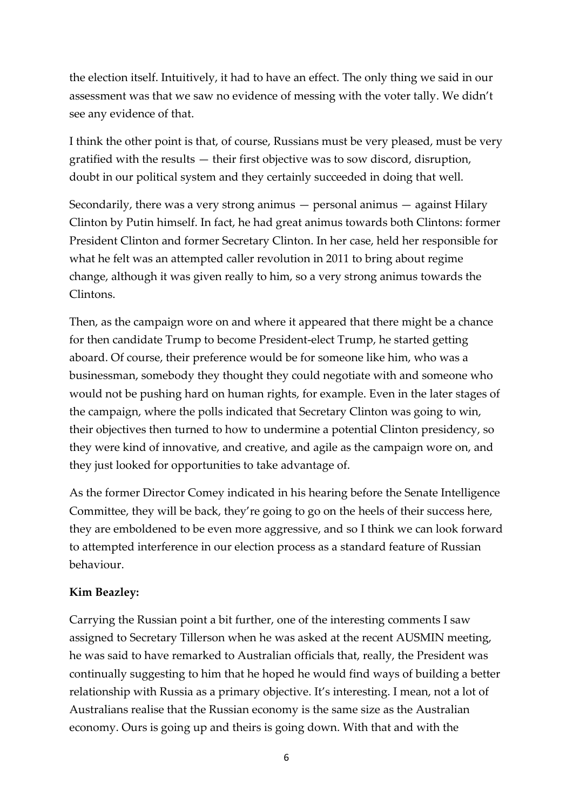the election itself. Intuitively, it had to have an effect. The only thing we said in our assessment was that we saw no evidence of messing with the voter tally. We didn't see any evidence of that.

I think the other point is that, of course, Russians must be very pleased, must be very gratified with the results — their first objective was to sow discord, disruption, doubt in our political system and they certainly succeeded in doing that well.

Secondarily, there was a very strong animus — personal animus — against Hilary Clinton by Putin himself. In fact, he had great animus towards both Clintons: former President Clinton and former Secretary Clinton. In her case, held her responsible for what he felt was an attempted caller revolution in 2011 to bring about regime change, although it was given really to him, so a very strong animus towards the Clintons.

Then, as the campaign wore on and where it appeared that there might be a chance for then candidate Trump to become President-elect Trump, he started getting aboard. Of course, their preference would be for someone like him, who was a businessman, somebody they thought they could negotiate with and someone who would not be pushing hard on human rights, for example. Even in the later stages of the campaign, where the polls indicated that Secretary Clinton was going to win, their objectives then turned to how to undermine a potential Clinton presidency, so they were kind of innovative, and creative, and agile as the campaign wore on, and they just looked for opportunities to take advantage of.

As the former Director Comey indicated in his hearing before the Senate Intelligence Committee, they will be back, they're going to go on the heels of their success here, they are emboldened to be even more aggressive, and so I think we can look forward to attempted interference in our election process as a standard feature of Russian behaviour.

#### **Kim Beazley:**

Carrying the Russian point a bit further, one of the interesting comments I saw assigned to Secretary Tillerson when he was asked at the recent AUSMIN meeting, he was said to have remarked to Australian officials that, really, the President was continually suggesting to him that he hoped he would find ways of building a better relationship with Russia as a primary objective. It's interesting. I mean, not a lot of Australians realise that the Russian economy is the same size as the Australian economy. Ours is going up and theirs is going down. With that and with the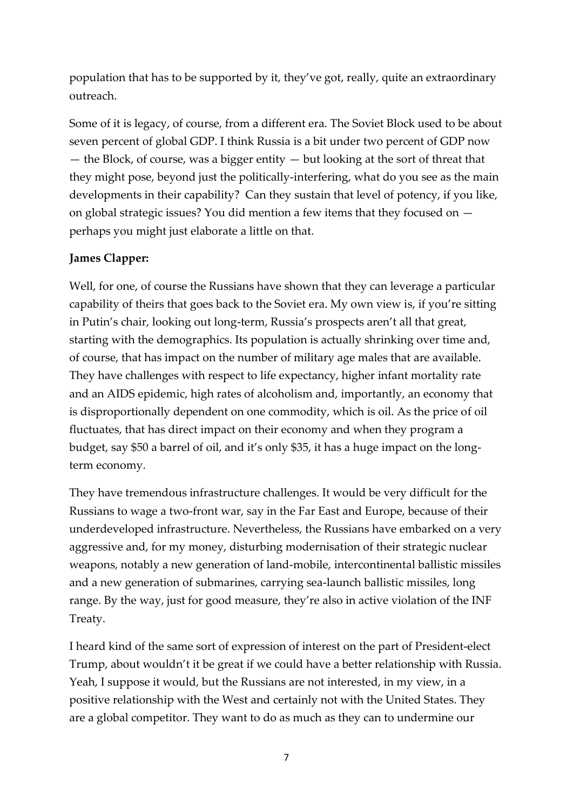population that has to be supported by it, they've got, really, quite an extraordinary outreach.

Some of it is legacy, of course, from a different era. The Soviet Block used to be about seven percent of global GDP. I think Russia is a bit under two percent of GDP now — the Block, of course, was a bigger entity — but looking at the sort of threat that they might pose, beyond just the politically-interfering, what do you see as the main developments in their capability? Can they sustain that level of potency, if you like, on global strategic issues? You did mention a few items that they focused on perhaps you might just elaborate a little on that.

## **James Clapper:**

Well, for one, of course the Russians have shown that they can leverage a particular capability of theirs that goes back to the Soviet era. My own view is, if you're sitting in Putin's chair, looking out long-term, Russia's prospects aren't all that great, starting with the demographics. Its population is actually shrinking over time and, of course, that has impact on the number of military age males that are available. They have challenges with respect to life expectancy, higher infant mortality rate and an AIDS epidemic, high rates of alcoholism and, importantly, an economy that is disproportionally dependent on one commodity, which is oil. As the price of oil fluctuates, that has direct impact on their economy and when they program a budget, say \$50 a barrel of oil, and it's only \$35, it has a huge impact on the longterm economy.

They have tremendous infrastructure challenges. It would be very difficult for the Russians to wage a two-front war, say in the Far East and Europe, because of their underdeveloped infrastructure. Nevertheless, the Russians have embarked on a very aggressive and, for my money, disturbing modernisation of their strategic nuclear weapons, notably a new generation of land-mobile, intercontinental ballistic missiles and a new generation of submarines, carrying sea-launch ballistic missiles, long range. By the way, just for good measure, they're also in active violation of the INF Treaty.

I heard kind of the same sort of expression of interest on the part of President-elect Trump, about wouldn't it be great if we could have a better relationship with Russia. Yeah, I suppose it would, but the Russians are not interested, in my view, in a positive relationship with the West and certainly not with the United States. They are a global competitor. They want to do as much as they can to undermine our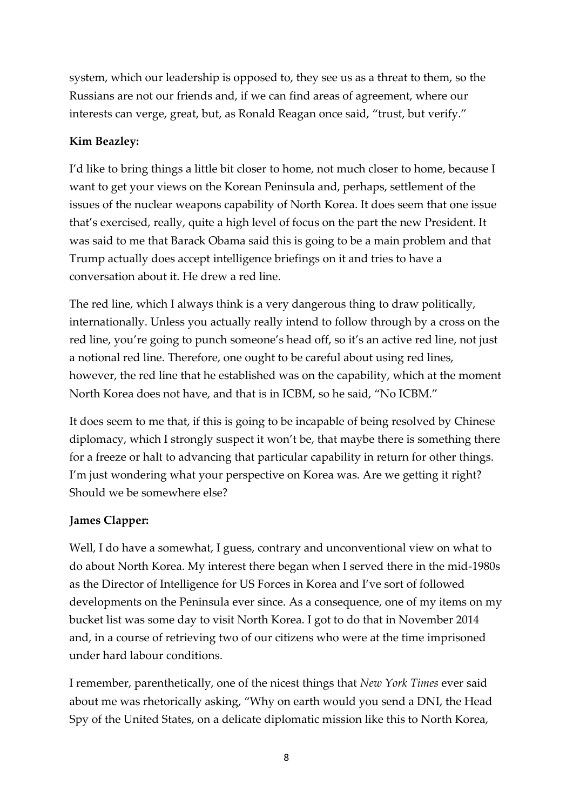system, which our leadership is opposed to, they see us as a threat to them, so the Russians are not our friends and, if we can find areas of agreement, where our interests can verge, great, but, as Ronald Reagan once said, "trust, but verify."

## **Kim Beazley:**

I'd like to bring things a little bit closer to home, not much closer to home, because I want to get your views on the Korean Peninsula and, perhaps, settlement of the issues of the nuclear weapons capability of North Korea. It does seem that one issue that's exercised, really, quite a high level of focus on the part the new President. It was said to me that Barack Obama said this is going to be a main problem and that Trump actually does accept intelligence briefings on it and tries to have a conversation about it. He drew a red line.

The red line, which I always think is a very dangerous thing to draw politically, internationally. Unless you actually really intend to follow through by a cross on the red line, you're going to punch someone's head off, so it's an active red line, not just a notional red line. Therefore, one ought to be careful about using red lines, however, the red line that he established was on the capability, which at the moment North Korea does not have, and that is in ICBM, so he said, "No ICBM."

It does seem to me that, if this is going to be incapable of being resolved by Chinese diplomacy, which I strongly suspect it won't be, that maybe there is something there for a freeze or halt to advancing that particular capability in return for other things. I'm just wondering what your perspective on Korea was. Are we getting it right? Should we be somewhere else?

## **James Clapper:**

Well, I do have a somewhat, I guess, contrary and unconventional view on what to do about North Korea. My interest there began when I served there in the mid-1980s as the Director of Intelligence for US Forces in Korea and I've sort of followed developments on the Peninsula ever since. As a consequence, one of my items on my bucket list was some day to visit North Korea. I got to do that in November 2014 and, in a course of retrieving two of our citizens who were at the time imprisoned under hard labour conditions.

I remember, parenthetically, one of the nicest things that *New York Times* ever said about me was rhetorically asking, "Why on earth would you send a DNI, the Head Spy of the United States, on a delicate diplomatic mission like this to North Korea,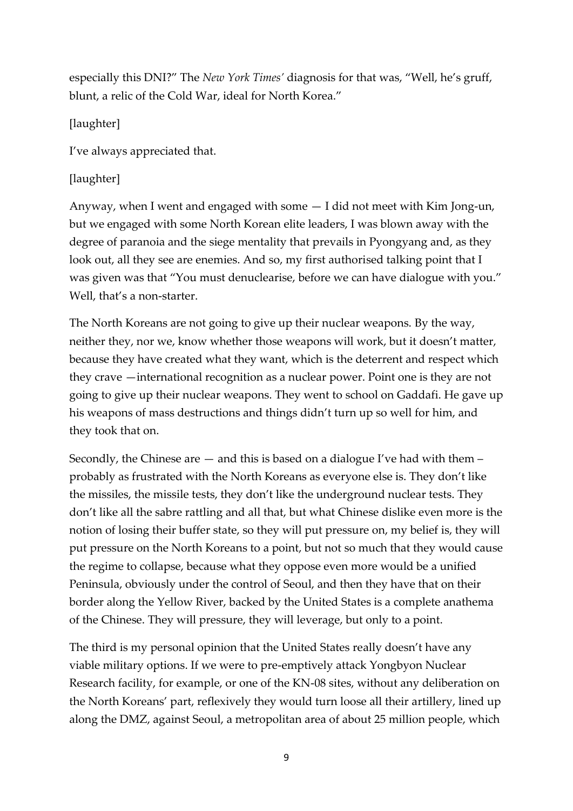especially this DNI?" The *New York Times'* diagnosis for that was, "Well, he's gruff, blunt, a relic of the Cold War, ideal for North Korea."

[laughter]

I've always appreciated that.

# [laughter]

Anyway, when I went and engaged with some — I did not meet with Kim Jong-un, but we engaged with some North Korean elite leaders, I was blown away with the degree of paranoia and the siege mentality that prevails in Pyongyang and, as they look out, all they see are enemies. And so, my first authorised talking point that I was given was that "You must denuclearise, before we can have dialogue with you." Well, that's a non-starter.

The North Koreans are not going to give up their nuclear weapons. By the way, neither they, nor we, know whether those weapons will work, but it doesn't matter, because they have created what they want, which is the deterrent and respect which they crave —international recognition as a nuclear power. Point one is they are not going to give up their nuclear weapons. They went to school on Gaddafi. He gave up his weapons of mass destructions and things didn't turn up so well for him, and they took that on.

Secondly, the Chinese are  $-$  and this is based on a dialogue I've had with them  $$ probably as frustrated with the North Koreans as everyone else is. They don't like the missiles, the missile tests, they don't like the underground nuclear tests. They don't like all the sabre rattling and all that, but what Chinese dislike even more is the notion of losing their buffer state, so they will put pressure on, my belief is, they will put pressure on the North Koreans to a point, but not so much that they would cause the regime to collapse, because what they oppose even more would be a unified Peninsula, obviously under the control of Seoul, and then they have that on their border along the Yellow River, backed by the United States is a complete anathema of the Chinese. They will pressure, they will leverage, but only to a point.

The third is my personal opinion that the United States really doesn't have any viable military options. If we were to pre-emptively attack Yongbyon Nuclear Research facility, for example, or one of the KN-08 sites, without any deliberation on the North Koreans' part, reflexively they would turn loose all their artillery, lined up along the DMZ, against Seoul, a metropolitan area of about 25 million people, which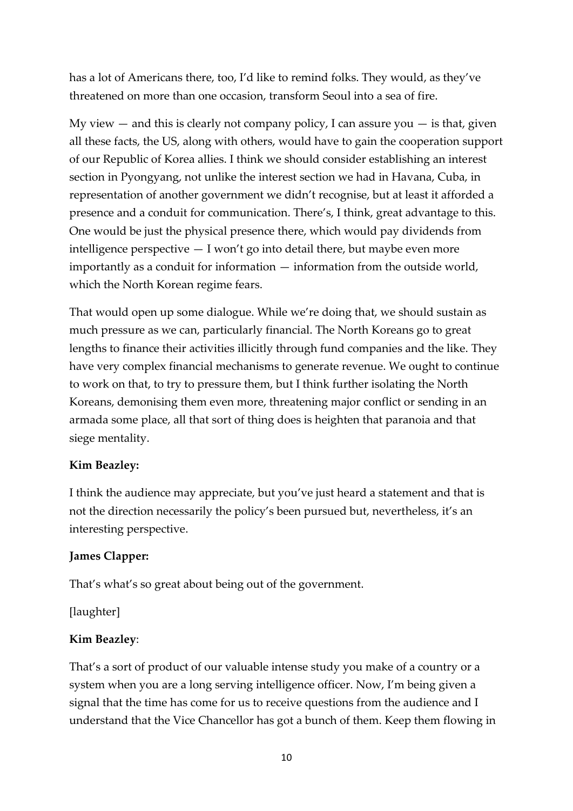has a lot of Americans there, too, I'd like to remind folks. They would, as they've threatened on more than one occasion, transform Seoul into a sea of fire.

My view  $-$  and this is clearly not company policy, I can assure you  $-$  is that, given all these facts, the US, along with others, would have to gain the cooperation support of our Republic of Korea allies. I think we should consider establishing an interest section in Pyongyang, not unlike the interest section we had in Havana, Cuba, in representation of another government we didn't recognise, but at least it afforded a presence and a conduit for communication. There's, I think, great advantage to this. One would be just the physical presence there, which would pay dividends from intelligence perspective  $-1$  won't go into detail there, but maybe even more importantly as a conduit for information — information from the outside world, which the North Korean regime fears.

That would open up some dialogue. While we're doing that, we should sustain as much pressure as we can, particularly financial. The North Koreans go to great lengths to finance their activities illicitly through fund companies and the like. They have very complex financial mechanisms to generate revenue. We ought to continue to work on that, to try to pressure them, but I think further isolating the North Koreans, demonising them even more, threatening major conflict or sending in an armada some place, all that sort of thing does is heighten that paranoia and that siege mentality.

## **Kim Beazley:**

I think the audience may appreciate, but you've just heard a statement and that is not the direction necessarily the policy's been pursued but, nevertheless, it's an interesting perspective.

#### **James Clapper:**

That's what's so great about being out of the government.

[laughter]

## **Kim Beazley**:

That's a sort of product of our valuable intense study you make of a country or a system when you are a long serving intelligence officer. Now, I'm being given a signal that the time has come for us to receive questions from the audience and I understand that the Vice Chancellor has got a bunch of them. Keep them flowing in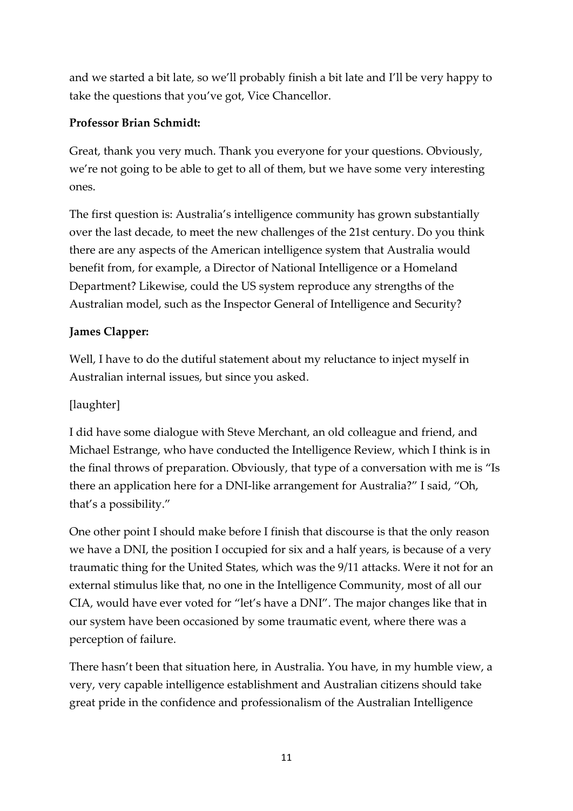and we started a bit late, so we'll probably finish a bit late and I'll be very happy to take the questions that you've got, Vice Chancellor.

# **Professor Brian Schmidt:**

Great, thank you very much. Thank you everyone for your questions. Obviously, we're not going to be able to get to all of them, but we have some very interesting ones.

The first question is: Australia's intelligence community has grown substantially over the last decade, to meet the new challenges of the 21st century. Do you think there are any aspects of the American intelligence system that Australia would benefit from, for example, a Director of National Intelligence or a Homeland Department? Likewise, could the US system reproduce any strengths of the Australian model, such as the Inspector General of Intelligence and Security?

# **James Clapper:**

Well, I have to do the dutiful statement about my reluctance to inject myself in Australian internal issues, but since you asked.

# [laughter]

I did have some dialogue with Steve Merchant, an old colleague and friend, and Michael Estrange, who have conducted the Intelligence Review, which I think is in the final throws of preparation. Obviously, that type of a conversation with me is "Is there an application here for a DNI-like arrangement for Australia?" I said, "Oh, that's a possibility."

One other point I should make before I finish that discourse is that the only reason we have a DNI, the position I occupied for six and a half years, is because of a very traumatic thing for the United States, which was the 9/11 attacks. Were it not for an external stimulus like that, no one in the Intelligence Community, most of all our CIA, would have ever voted for "let's have a DNI". The major changes like that in our system have been occasioned by some traumatic event, where there was a perception of failure.

There hasn't been that situation here, in Australia. You have, in my humble view, a very, very capable intelligence establishment and Australian citizens should take great pride in the confidence and professionalism of the Australian Intelligence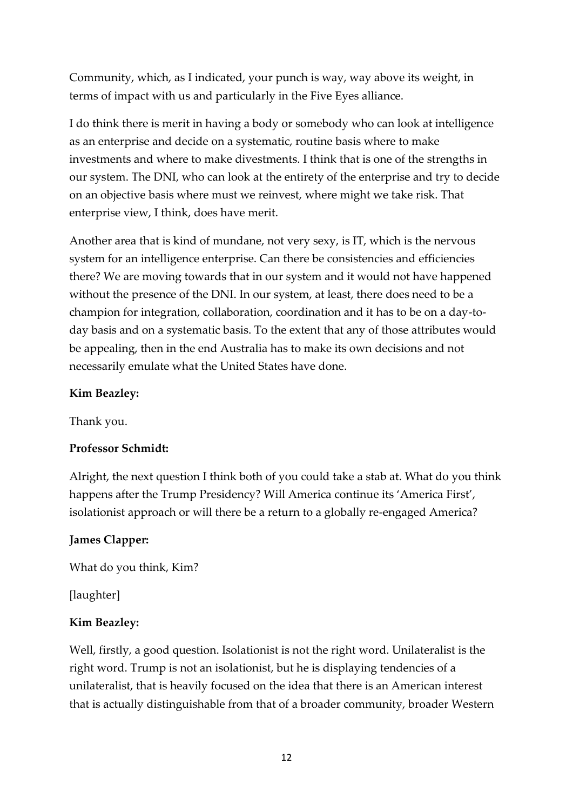Community, which, as I indicated, your punch is way, way above its weight, in terms of impact with us and particularly in the Five Eyes alliance.

I do think there is merit in having a body or somebody who can look at intelligence as an enterprise and decide on a systematic, routine basis where to make investments and where to make divestments. I think that is one of the strengths in our system. The DNI, who can look at the entirety of the enterprise and try to decide on an objective basis where must we reinvest, where might we take risk. That enterprise view, I think, does have merit.

Another area that is kind of mundane, not very sexy, is IT, which is the nervous system for an intelligence enterprise. Can there be consistencies and efficiencies there? We are moving towards that in our system and it would not have happened without the presence of the DNI. In our system, at least, there does need to be a champion for integration, collaboration, coordination and it has to be on a day-today basis and on a systematic basis. To the extent that any of those attributes would be appealing, then in the end Australia has to make its own decisions and not necessarily emulate what the United States have done.

#### **Kim Beazley:**

Thank you.

#### **Professor Schmidt:**

Alright, the next question I think both of you could take a stab at. What do you think happens after the Trump Presidency? Will America continue its 'America First', isolationist approach or will there be a return to a globally re-engaged America?

#### **James Clapper:**

What do you think, Kim?

[laughter]

#### **Kim Beazley:**

Well, firstly, a good question. Isolationist is not the right word. Unilateralist is the right word. Trump is not an isolationist, but he is displaying tendencies of a unilateralist, that is heavily focused on the idea that there is an American interest that is actually distinguishable from that of a broader community, broader Western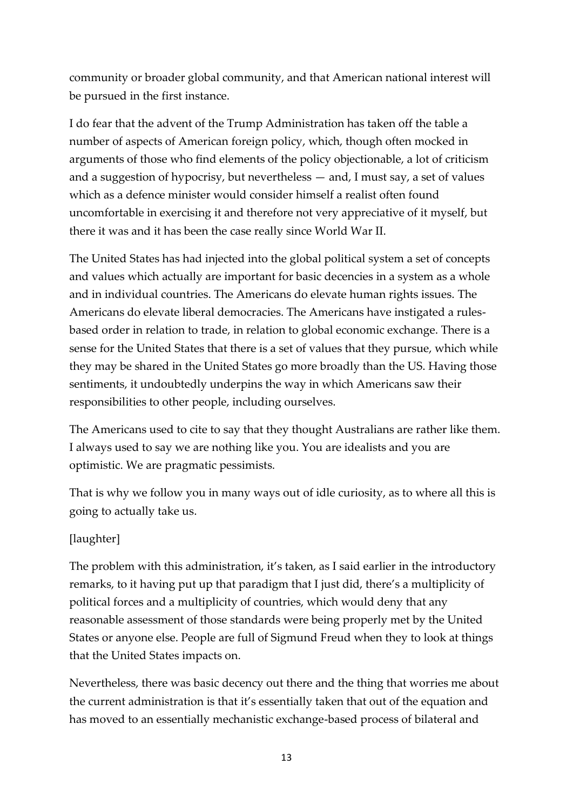community or broader global community, and that American national interest will be pursued in the first instance.

I do fear that the advent of the Trump Administration has taken off the table a number of aspects of American foreign policy, which, though often mocked in arguments of those who find elements of the policy objectionable, a lot of criticism and a suggestion of hypocrisy, but nevertheless — and, I must say, a set of values which as a defence minister would consider himself a realist often found uncomfortable in exercising it and therefore not very appreciative of it myself, but there it was and it has been the case really since World War II.

The United States has had injected into the global political system a set of concepts and values which actually are important for basic decencies in a system as a whole and in individual countries. The Americans do elevate human rights issues. The Americans do elevate liberal democracies. The Americans have instigated a rulesbased order in relation to trade, in relation to global economic exchange. There is a sense for the United States that there is a set of values that they pursue, which while they may be shared in the United States go more broadly than the US. Having those sentiments, it undoubtedly underpins the way in which Americans saw their responsibilities to other people, including ourselves.

The Americans used to cite to say that they thought Australians are rather like them. I always used to say we are nothing like you. You are idealists and you are optimistic. We are pragmatic pessimists.

That is why we follow you in many ways out of idle curiosity, as to where all this is going to actually take us.

# [laughter]

The problem with this administration, it's taken, as I said earlier in the introductory remarks, to it having put up that paradigm that I just did, there's a multiplicity of political forces and a multiplicity of countries, which would deny that any reasonable assessment of those standards were being properly met by the United States or anyone else. People are full of Sigmund Freud when they to look at things that the United States impacts on.

Nevertheless, there was basic decency out there and the thing that worries me about the current administration is that it's essentially taken that out of the equation and has moved to an essentially mechanistic exchange-based process of bilateral and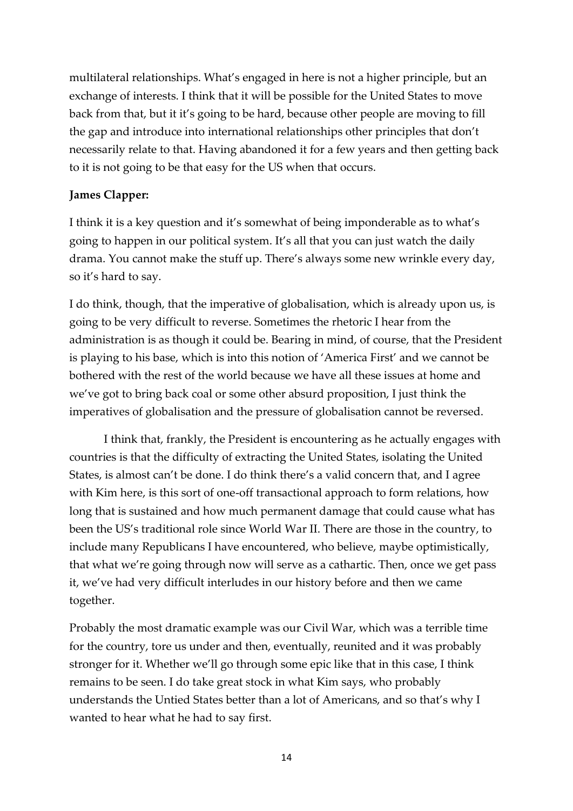multilateral relationships. What's engaged in here is not a higher principle, but an exchange of interests. I think that it will be possible for the United States to move back from that, but it it's going to be hard, because other people are moving to fill the gap and introduce into international relationships other principles that don't necessarily relate to that. Having abandoned it for a few years and then getting back to it is not going to be that easy for the US when that occurs.

## **James Clapper:**

I think it is a key question and it's somewhat of being imponderable as to what's going to happen in our political system. It's all that you can just watch the daily drama. You cannot make the stuff up. There's always some new wrinkle every day, so it's hard to say.

I do think, though, that the imperative of globalisation, which is already upon us, is going to be very difficult to reverse. Sometimes the rhetoric I hear from the administration is as though it could be. Bearing in mind, of course, that the President is playing to his base, which is into this notion of 'America First' and we cannot be bothered with the rest of the world because we have all these issues at home and we've got to bring back coal or some other absurd proposition, I just think the imperatives of globalisation and the pressure of globalisation cannot be reversed.

I think that, frankly, the President is encountering as he actually engages with countries is that the difficulty of extracting the United States, isolating the United States, is almost can't be done. I do think there's a valid concern that, and I agree with Kim here, is this sort of one-off transactional approach to form relations, how long that is sustained and how much permanent damage that could cause what has been the US's traditional role since World War II. There are those in the country, to include many Republicans I have encountered, who believe, maybe optimistically, that what we're going through now will serve as a cathartic. Then, once we get pass it, we've had very difficult interludes in our history before and then we came together.

Probably the most dramatic example was our Civil War, which was a terrible time for the country, tore us under and then, eventually, reunited and it was probably stronger for it. Whether we'll go through some epic like that in this case, I think remains to be seen. I do take great stock in what Kim says, who probably understands the Untied States better than a lot of Americans, and so that's why I wanted to hear what he had to say first.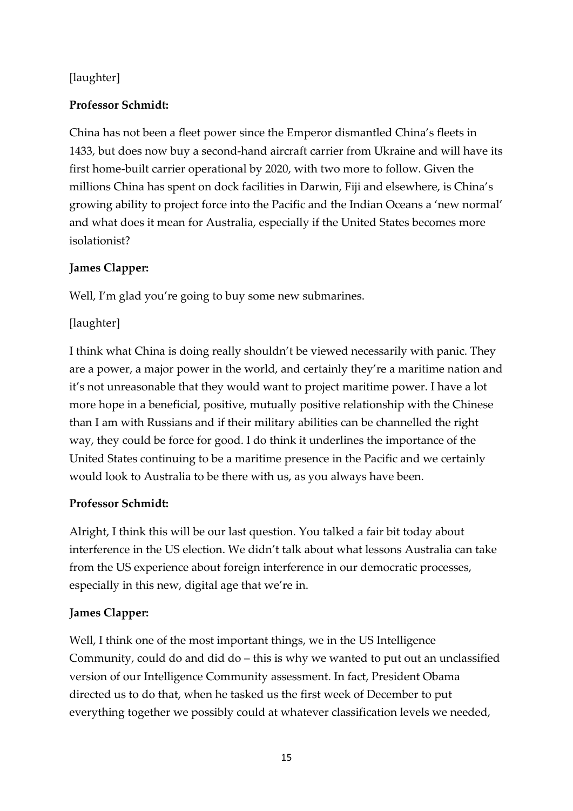# [laughter]

## **Professor Schmidt:**

China has not been a fleet power since the Emperor dismantled China's fleets in 1433, but does now buy a second-hand aircraft carrier from Ukraine and will have its first home-built carrier operational by 2020, with two more to follow. Given the millions China has spent on dock facilities in Darwin, Fiji and elsewhere, is China's growing ability to project force into the Pacific and the Indian Oceans a 'new normal' and what does it mean for Australia, especially if the United States becomes more isolationist?

## **James Clapper:**

Well, I'm glad you're going to buy some new submarines.

## [laughter]

I think what China is doing really shouldn't be viewed necessarily with panic. They are a power, a major power in the world, and certainly they're a maritime nation and it's not unreasonable that they would want to project maritime power. I have a lot more hope in a beneficial, positive, mutually positive relationship with the Chinese than I am with Russians and if their military abilities can be channelled the right way, they could be force for good. I do think it underlines the importance of the United States continuing to be a maritime presence in the Pacific and we certainly would look to Australia to be there with us, as you always have been.

## **Professor Schmidt:**

Alright, I think this will be our last question. You talked a fair bit today about interference in the US election. We didn't talk about what lessons Australia can take from the US experience about foreign interference in our democratic processes, especially in this new, digital age that we're in.

## **James Clapper:**

Well, I think one of the most important things, we in the US Intelligence Community, could do and did do – this is why we wanted to put out an unclassified version of our Intelligence Community assessment. In fact, President Obama directed us to do that, when he tasked us the first week of December to put everything together we possibly could at whatever classification levels we needed,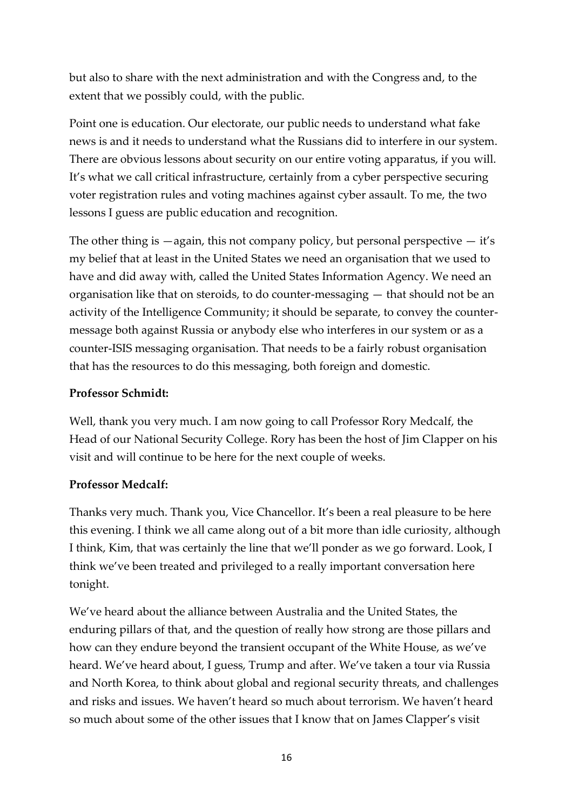but also to share with the next administration and with the Congress and, to the extent that we possibly could, with the public.

Point one is education. Our electorate, our public needs to understand what fake news is and it needs to understand what the Russians did to interfere in our system. There are obvious lessons about security on our entire voting apparatus, if you will. It's what we call critical infrastructure, certainly from a cyber perspective securing voter registration rules and voting machines against cyber assault. To me, the two lessons I guess are public education and recognition.

The other thing is  $-\alpha$  again, this not company policy, but personal perspective  $-\text{ it's}$ my belief that at least in the United States we need an organisation that we used to have and did away with, called the United States Information Agency. We need an organisation like that on steroids, to do counter-messaging — that should not be an activity of the Intelligence Community; it should be separate, to convey the countermessage both against Russia or anybody else who interferes in our system or as a counter-ISIS messaging organisation. That needs to be a fairly robust organisation that has the resources to do this messaging, both foreign and domestic.

## **Professor Schmidt:**

Well, thank you very much. I am now going to call Professor Rory Medcalf, the Head of our National Security College. Rory has been the host of Jim Clapper on his visit and will continue to be here for the next couple of weeks.

# **Professor Medcalf:**

Thanks very much. Thank you, Vice Chancellor. It's been a real pleasure to be here this evening. I think we all came along out of a bit more than idle curiosity, although I think, Kim, that was certainly the line that we'll ponder as we go forward. Look, I think we've been treated and privileged to a really important conversation here tonight.

We've heard about the alliance between Australia and the United States, the enduring pillars of that, and the question of really how strong are those pillars and how can they endure beyond the transient occupant of the White House, as we've heard. We've heard about, I guess, Trump and after. We've taken a tour via Russia and North Korea, to think about global and regional security threats, and challenges and risks and issues. We haven't heard so much about terrorism. We haven't heard so much about some of the other issues that I know that on James Clapper's visit